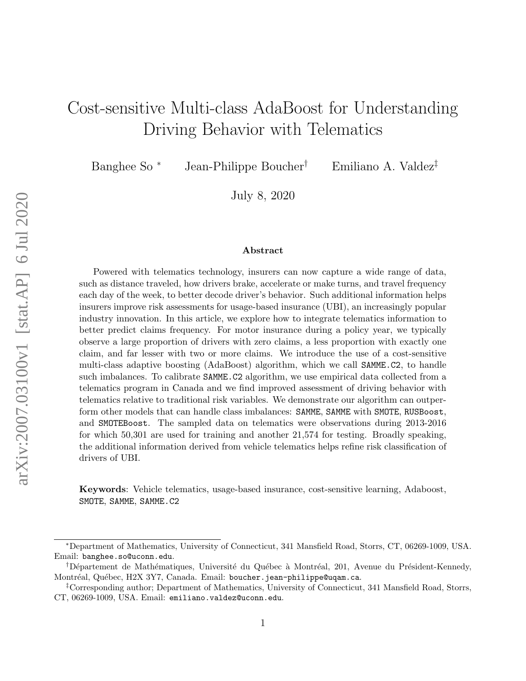# Cost-sensitive Multi-class AdaBoost for Understanding Driving Behavior with Telematics

Banghee So<sup>\*</sup> Jean-Philippe Boucher<sup>†</sup> Emiliano A. Valdez<sup>‡</sup>

July 8, 2020

#### Abstract

Powered with telematics technology, insurers can now capture a wide range of data, such as distance traveled, how drivers brake, accelerate or make turns, and travel frequency each day of the week, to better decode driver's behavior. Such additional information helps insurers improve risk assessments for usage-based insurance (UBI), an increasingly popular industry innovation. In this article, we explore how to integrate telematics information to better predict claims frequency. For motor insurance during a policy year, we typically observe a large proportion of drivers with zero claims, a less proportion with exactly one claim, and far lesser with two or more claims. We introduce the use of a cost-sensitive multi-class adaptive boosting (AdaBoost) algorithm, which we call SAMME.C2, to handle such imbalances. To calibrate SAMME.C2 algorithm, we use empirical data collected from a telematics program in Canada and we find improved assessment of driving behavior with telematics relative to traditional risk variables. We demonstrate our algorithm can outperform other models that can handle class imbalances: SAMME, SAMME with SMOTE, RUSBoost, and SMOTEBoost. The sampled data on telematics were observations during 2013-2016 for which 50,301 are used for training and another 21,574 for testing. Broadly speaking, the additional information derived from vehicle telematics helps refine risk classification of drivers of UBI.

Keywords: Vehicle telematics, usage-based insurance, cost-sensitive learning, Adaboost, SMOTE, SAMME, SAMME.C2

<sup>∗</sup>Department of Mathematics, University of Connecticut, 341 Mansfield Road, Storrs, CT, 06269-1009, USA. Email: banghee.so@uconn.edu.

<sup>&</sup>lt;sup>†</sup>Département de Mathématiques, Université du Québec à Montréal, 201, Avenue du Président-Kennedy, Montréal, Québec, H2X 3Y7, Canada. Email: boucher.jean-philippe@uqam.ca.

<sup>‡</sup>Corresponding author; Department of Mathematics, University of Connecticut, 341 Mansfield Road, Storrs, CT, 06269-1009, USA. Email: emiliano.valdez@uconn.edu.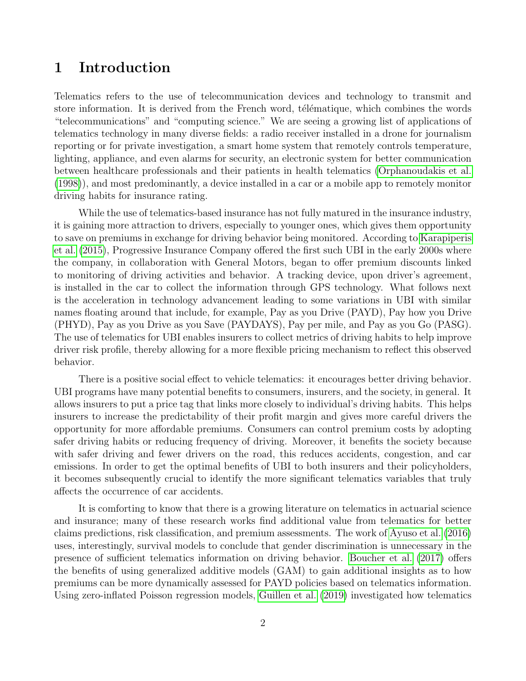### 1 Introduction

Telematics refers to the use of telecommunication devices and technology to transmit and store information. It is derived from the French word, télématique, which combines the words "telecommunications" and "computing science." We are seeing a growing list of applications of telematics technology in many diverse fields: a radio receiver installed in a drone for journalism reporting or for private investigation, a smart home system that remotely controls temperature, lighting, appliance, and even alarms for security, an electronic system for better communication between healthcare professionals and their patients in health telematics [\(Orphanoudakis et al.](#page-25-0) [\(1998\)](#page-25-0)), and most predominantly, a device installed in a car or a mobile app to remotely monitor driving habits for insurance rating.

While the use of telematics-based insurance has not fully matured in the insurance industry, it is gaining more attraction to drivers, especially to younger ones, which gives them opportunity to save on premiums in exchange for driving behavior being monitored. According to [Karapiperis](#page-25-1) [et al.](#page-25-1) [\(2015\)](#page-25-1), Progressive Insurance Company offered the first such UBI in the early 2000s where the company, in collaboration with General Motors, began to offer premium discounts linked to monitoring of driving activities and behavior. A tracking device, upon driver's agreement, is installed in the car to collect the information through GPS technology. What follows next is the acceleration in technology advancement leading to some variations in UBI with similar names floating around that include, for example, Pay as you Drive (PAYD), Pay how you Drive (PHYD), Pay as you Drive as you Save (PAYDAYS), Pay per mile, and Pay as you Go (PASG). The use of telematics for UBI enables insurers to collect metrics of driving habits to help improve driver risk profile, thereby allowing for a more flexible pricing mechanism to reflect this observed behavior.

There is a positive social effect to vehicle telematics: it encourages better driving behavior. UBI programs have many potential benefits to consumers, insurers, and the society, in general. It allows insurers to put a price tag that links more closely to individual's driving habits. This helps insurers to increase the predictability of their profit margin and gives more careful drivers the opportunity for more affordable premiums. Consumers can control premium costs by adopting safer driving habits or reducing frequency of driving. Moreover, it benefits the society because with safer driving and fewer drivers on the road, this reduces accidents, congestion, and car emissions. In order to get the optimal benefits of UBI to both insurers and their policyholders, it becomes subsequently crucial to identify the more significant telematics variables that truly affects the occurrence of car accidents.

It is comforting to know that there is a growing literature on telematics in actuarial science and insurance; many of these research works find additional value from telematics for better claims predictions, risk classification, and premium assessments. The work of [Ayuso et al.](#page-23-0) [\(2016\)](#page-23-0) uses, interestingly, survival models to conclude that gender discrimination is unnecessary in the presence of sufficient telematics information on driving behavior. [Boucher et al.](#page-24-0) [\(2017\)](#page-24-0) offers the benefits of using generalized additive models (GAM) to gain additional insights as to how premiums can be more dynamically assessed for PAYD policies based on telematics information. Using zero-inflated Poisson regression models, [Guillen et al.](#page-24-1) [\(2019\)](#page-24-1) investigated how telematics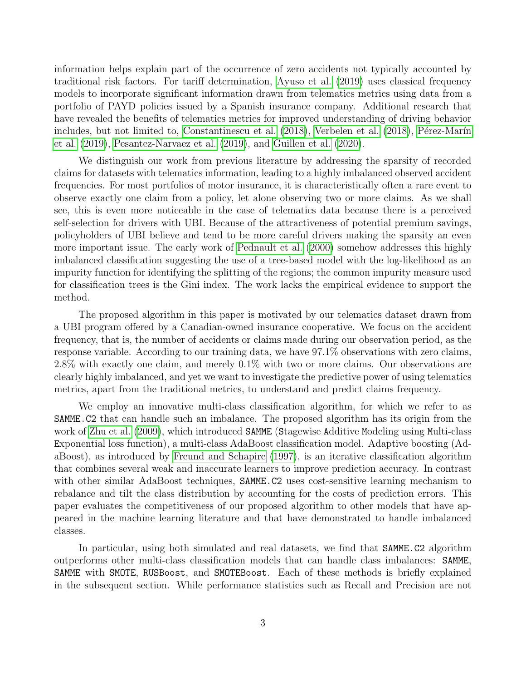information helps explain part of the occurrence of zero accidents not typically accounted by traditional risk factors. For tariff determination, [Ayuso et al.](#page-23-1) [\(2019\)](#page-23-1) uses classical frequency models to incorporate significant information drawn from telematics metrics using data from a portfolio of PAYD policies issued by a Spanish insurance company. Additional research that have revealed the benefits of telematics metrics for improved understanding of driving behavior includes, but not limited to, [Constantinescu et al.](#page-24-2) [\(2018\)](#page-25-2), [Verbelen et al.](#page-25-2) (2018), Pérez-Marín [et al.](#page-25-3) [\(2019\)](#page-25-3), [Pesantez-Narvaez et al.](#page-25-4) [\(2019\)](#page-25-4), and [Guillen et al.](#page-24-3) [\(2020\)](#page-24-3).

We distinguish our work from previous literature by addressing the sparsity of recorded claims for datasets with telematics information, leading to a highly imbalanced observed accident frequencies. For most portfolios of motor insurance, it is characteristically often a rare event to observe exactly one claim from a policy, let alone observing two or more claims. As we shall see, this is even more noticeable in the case of telematics data because there is a perceived self-selection for drivers with UBI. Because of the attractiveness of potential premium savings, policyholders of UBI believe and tend to be more careful drivers making the sparsity an even more important issue. The early work of [Pednault et al.](#page-25-5) [\(2000\)](#page-25-5) somehow addresses this highly imbalanced classification suggesting the use of a tree-based model with the log-likelihood as an impurity function for identifying the splitting of the regions; the common impurity measure used for classification trees is the Gini index. The work lacks the empirical evidence to support the method.

The proposed algorithm in this paper is motivated by our telematics dataset drawn from a UBI program offered by a Canadian-owned insurance cooperative. We focus on the accident frequency, that is, the number of accidents or claims made during our observation period, as the response variable. According to our training data, we have 97.1% observations with zero claims, 2.8% with exactly one claim, and merely 0.1% with two or more claims. Our observations are clearly highly imbalanced, and yet we want to investigate the predictive power of using telematics metrics, apart from the traditional metrics, to understand and predict claims frequency.

We employ an innovative multi-class classification algorithm, for which we refer to as SAMME.C2 that can handle such an imbalance. The proposed algorithm has its origin from the work of [Zhu et al.](#page-26-0) [\(2009\)](#page-26-0), which introduced **SAMME** (Stagewise Additive Modeling using Multi-class Exponential loss function), a multi-class AdaBoost classification model. Adaptive boosting (AdaBoost), as introduced by [Freund and Schapire](#page-24-4) [\(1997\)](#page-24-4), is an iterative classification algorithm that combines several weak and inaccurate learners to improve prediction accuracy. In contrast with other similar AdaBoost techniques, **SAMME.C2** uses cost-sensitive learning mechanism to rebalance and tilt the class distribution by accounting for the costs of prediction errors. This paper evaluates the competitiveness of our proposed algorithm to other models that have appeared in the machine learning literature and that have demonstrated to handle imbalanced classes.

In particular, using both simulated and real datasets, we find that SAMME.C2 algorithm outperforms other multi-class classification models that can handle class imbalances: SAMME, SAMME with SMOTE, RUSBoost, and SMOTEBoost. Each of these methods is briefly explained in the subsequent section. While performance statistics such as Recall and Precision are not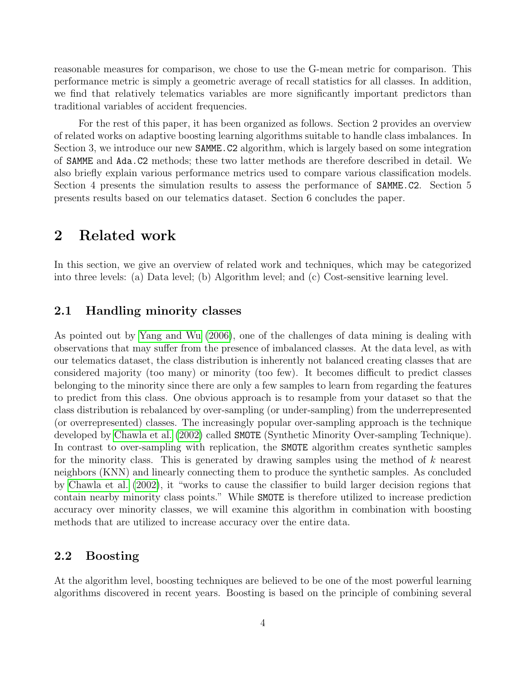reasonable measures for comparison, we chose to use the G-mean metric for comparison. This performance metric is simply a geometric average of recall statistics for all classes. In addition, we find that relatively telematics variables are more significantly important predictors than traditional variables of accident frequencies.

For the rest of this paper, it has been organized as follows. Section 2 provides an overview of related works on adaptive boosting learning algorithms suitable to handle class imbalances. In Section 3, we introduce our new **SAMME.C2** algorithm, which is largely based on some integration of SAMME and Ada.C2 methods; these two latter methods are therefore described in detail. We also briefly explain various performance metrics used to compare various classification models. Section 4 presents the simulation results to assess the performance of SAMME.C2. Section 5 presents results based on our telematics dataset. Section 6 concludes the paper.

### 2 Related work

In this section, we give an overview of related work and techniques, which may be categorized into three levels: (a) Data level; (b) Algorithm level; and (c) Cost-sensitive learning level.

#### 2.1 Handling minority classes

As pointed out by [Yang and Wu](#page-25-6) [\(2006\)](#page-25-6), one of the challenges of data mining is dealing with observations that may suffer from the presence of imbalanced classes. At the data level, as with our telematics dataset, the class distribution is inherently not balanced creating classes that are considered majority (too many) or minority (too few). It becomes difficult to predict classes belonging to the minority since there are only a few samples to learn from regarding the features to predict from this class. One obvious approach is to resample from your dataset so that the class distribution is rebalanced by over-sampling (or under-sampling) from the underrepresented (or overrepresented) classes. The increasingly popular over-sampling approach is the technique developed by [Chawla et al.](#page-24-5) [\(2002\)](#page-24-5) called SMOTE (Synthetic Minority Over-sampling Technique). In contrast to over-sampling with replication, the SMOTE algorithm creates synthetic samples for the minority class. This is generated by drawing samples using the method of k nearest neighbors (KNN) and linearly connecting them to produce the synthetic samples. As concluded by [Chawla et al.](#page-24-5) [\(2002\)](#page-24-5), it "works to cause the classifier to build larger decision regions that contain nearby minority class points." While SMOTE is therefore utilized to increase prediction accuracy over minority classes, we will examine this algorithm in combination with boosting methods that are utilized to increase accuracy over the entire data.

#### 2.2 Boosting

At the algorithm level, boosting techniques are believed to be one of the most powerful learning algorithms discovered in recent years. Boosting is based on the principle of combining several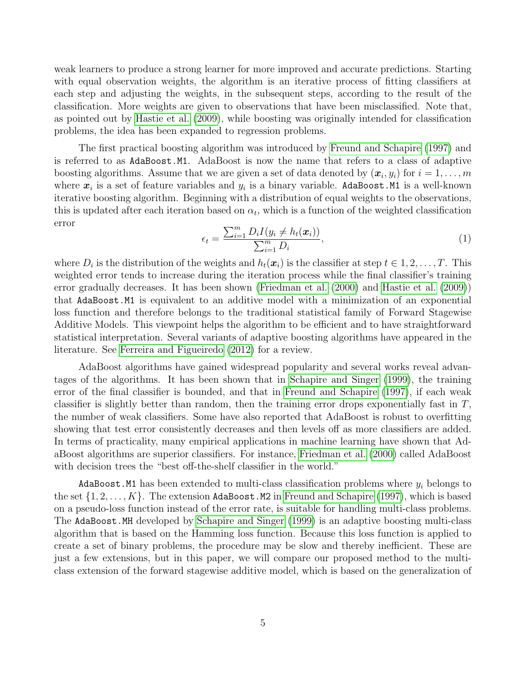weak learners to produce a strong learner for more improved and accurate predictions. Starting with equal observation weights, the algorithm is an iterative process of fitting classifiers at each step and adjusting the weights, in the subsequent steps, according to the result of the classification. More weights are given to observations that have been misclassified. Note that, as pointed out by [Hastie et al.](#page-24-6) [\(2009\)](#page-24-6), while boosting was originally intended for classification problems, the idea has been expanded to regression problems.

The first practical boosting algorithm was introduced by [Freund and Schapire](#page-24-4) [\(1997\)](#page-24-4) and is referred to as AdaBoost.M1. AdaBoost is now the name that refers to a class of adaptive boosting algorithms. Assume that we are given a set of data denoted by  $(x_i, y_i)$  for  $i = 1, \ldots, m$ where  $x_i$  is a set of feature variables and  $y_i$  is a binary variable. AdaBoost.M1 is a well-known iterative boosting algorithm. Beginning with a distribution of equal weights to the observations, this is updated after each iteration based on  $\alpha_t$ , which is a function of the weighted classification error

$$
\epsilon_t = \frac{\sum_{i=1}^m D_i I(y_i \neq h_t(\boldsymbol{x}_i))}{\sum_{i=1}^m D_i},
$$
\n(1)

where  $D_i$  is the distribution of the weights and  $h_t(\boldsymbol{x}_i)$  is the classifier at step  $t \in 1, 2, ..., T$ . This weighted error tends to increase during the iteration process while the final classifier's training error gradually decreases. It has been shown [\(Friedman et al.](#page-24-7) [\(2000\)](#page-24-7) and [Hastie et al.](#page-24-6) [\(2009\)](#page-24-6)) that AdaBoost.M1 is equivalent to an additive model with a minimization of an exponential loss function and therefore belongs to the traditional statistical family of Forward Stagewise Additive Models. This viewpoint helps the algorithm to be efficient and to have straightforward statistical interpretation. Several variants of adaptive boosting algorithms have appeared in the literature. See [Ferreira and Figueiredo](#page-24-8) [\(2012\)](#page-24-8) for a review.

AdaBoost algorithms have gained widespread popularity and several works reveal advantages of the algorithms. It has been shown that in [Schapire and Singer](#page-25-7) [\(1999\)](#page-25-7), the training error of the final classifier is bounded, and that in [Freund and Schapire](#page-24-4) [\(1997\)](#page-24-4), if each weak classifier is slightly better than random, then the training error drops exponentially fast in  $T$ , the number of weak classifiers. Some have also reported that AdaBoost is robust to overfitting showing that test error consistently decreases and then levels off as more classifiers are added. In terms of practicality, many empirical applications in machine learning have shown that AdaBoost algorithms are superior classifiers. For instance, [Friedman et al.](#page-24-7) [\(2000\)](#page-24-7) called AdaBoost with decision trees the "best off-the-shelf classifier in the world."

AdaBoost.M1 has been extended to multi-class classification problems where  $y_i$  belongs to the set  $\{1, 2, \ldots, K\}$ . The extension AdaBoost.M2 in [Freund and Schapire](#page-24-4) [\(1997\)](#page-24-4), which is based on a pseudo-loss function instead of the error rate, is suitable for handling multi-class problems. The AdaBoost.MH developed by [Schapire and Singer](#page-25-7) [\(1999\)](#page-25-7) is an adaptive boosting multi-class algorithm that is based on the Hamming loss function. Because this loss function is applied to create a set of binary problems, the procedure may be slow and thereby inefficient. These are just a few extensions, but in this paper, we will compare our proposed method to the multiclass extension of the forward stagewise additive model, which is based on the generalization of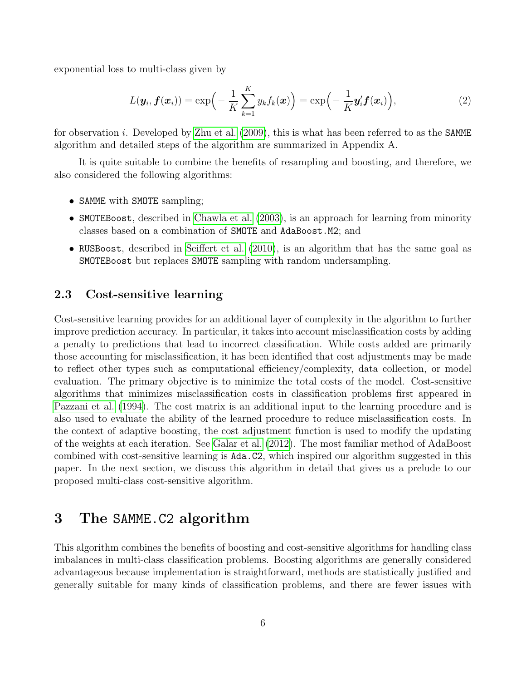exponential loss to multi-class given by

$$
L(\boldsymbol{y}_i, \boldsymbol{f}(\boldsymbol{x}_i)) = \exp\Big(-\frac{1}{K}\sum_{k=1}^K y_k f_k(\boldsymbol{x})\Big) = \exp\Big(-\frac{1}{K}\boldsymbol{y}_i' \boldsymbol{f}(\boldsymbol{x}_i)\Big),\tag{2}
$$

for observation i. Developed by [Zhu et al.](#page-26-0)  $(2009)$ , this is what has been referred to as the SAMME algorithm and detailed steps of the algorithm are summarized in Appendix A.

It is quite suitable to combine the benefits of resampling and boosting, and therefore, we also considered the following algorithms:

- SAMME with SMOTE sampling;
- SMOTEBoost, described in [Chawla et al.](#page-24-9) [\(2003\)](#page-24-9), is an approach for learning from minority classes based on a combination of SMOTE and AdaBoost.M2; and
- RUSBoost, described in [Seiffert et al.](#page-25-8) [\(2010\)](#page-25-8), is an algorithm that has the same goal as SMOTEBoost but replaces SMOTE sampling with random undersampling.

#### 2.3 Cost-sensitive learning

Cost-sensitive learning provides for an additional layer of complexity in the algorithm to further improve prediction accuracy. In particular, it takes into account misclassification costs by adding a penalty to predictions that lead to incorrect classification. While costs added are primarily those accounting for misclassification, it has been identified that cost adjustments may be made to reflect other types such as computational efficiency/complexity, data collection, or model evaluation. The primary objective is to minimize the total costs of the model. Cost-sensitive algorithms that minimizes misclassification costs in classification problems first appeared in [Pazzani et al.](#page-25-9) [\(1994\)](#page-25-9). The cost matrix is an additional input to the learning procedure and is also used to evaluate the ability of the learned procedure to reduce misclassification costs. In the context of adaptive boosting, the cost adjustment function is used to modify the updating of the weights at each iteration. See [Galar et al.](#page-24-10) [\(2012\)](#page-24-10). The most familiar method of AdaBoost combined with cost-sensitive learning is Ada.C2, which inspired our algorithm suggested in this paper. In the next section, we discuss this algorithm in detail that gives us a prelude to our proposed multi-class cost-sensitive algorithm.

# 3 The SAMME.C2 algorithm

This algorithm combines the benefits of boosting and cost-sensitive algorithms for handling class imbalances in multi-class classification problems. Boosting algorithms are generally considered advantageous because implementation is straightforward, methods are statistically justified and generally suitable for many kinds of classification problems, and there are fewer issues with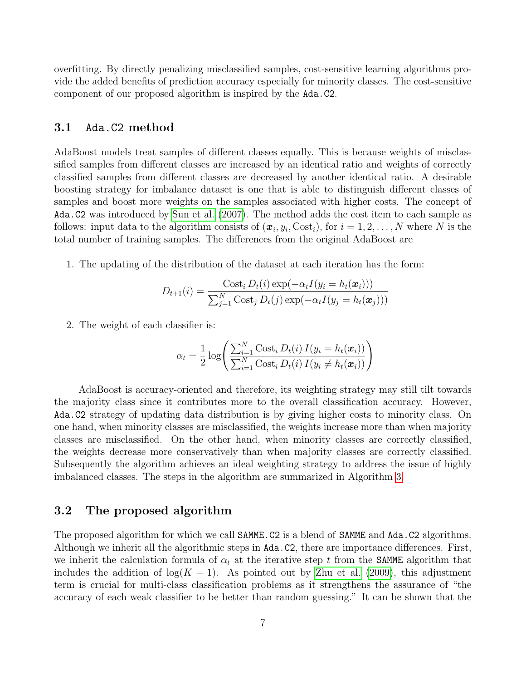overfitting. By directly penalizing misclassified samples, cost-sensitive learning algorithms provide the added benefits of prediction accuracy especially for minority classes. The cost-sensitive component of our proposed algorithm is inspired by the Ada.C2.

#### 3.1 Ada.C2 method

AdaBoost models treat samples of different classes equally. This is because weights of misclassified samples from different classes are increased by an identical ratio and weights of correctly classified samples from different classes are decreased by another identical ratio. A desirable boosting strategy for imbalance dataset is one that is able to distinguish different classes of samples and boost more weights on the samples associated with higher costs. The concept of Ada.C2 was introduced by [Sun et al.](#page-25-10) [\(2007\)](#page-25-10). The method adds the cost item to each sample as follows: input data to the algorithm consists of  $(x_i, y_i, \text{Cost}_i)$ , for  $i = 1, 2, ..., N$  where N is the total number of training samples. The differences from the original AdaBoost are

1. The updating of the distribution of the dataset at each iteration has the form:

$$
D_{t+1}(i) = \frac{\text{Cost}_i D_t(i) \exp(-\alpha_t I(y_i = h_t(\boldsymbol{x}_i)))}{\sum_{j=1}^N \text{Cost}_j D_t(j) \exp(-\alpha_t I(y_j = h_t(\boldsymbol{x}_j)))}
$$

2. The weight of each classifier is:

$$
\alpha_t = \frac{1}{2} \log \left( \frac{\sum_{i=1}^{N} \text{Cost}_i D_t(i) I(y_i = h_t(\boldsymbol{x}_i))}{\sum_{i=1}^{N} \text{Cost}_i D_t(i) I(y_i \neq h_t(\boldsymbol{x}_i))} \right)
$$

AdaBoost is accuracy-oriented and therefore, its weighting strategy may still tilt towards the majority class since it contributes more to the overall classification accuracy. However, Ada.C2 strategy of updating data distribution is by giving higher costs to minority class. On one hand, when minority classes are misclassified, the weights increase more than when majority classes are misclassified. On the other hand, when minority classes are correctly classified, the weights decrease more conservatively than when majority classes are correctly classified. Subsequently the algorithm achieves an ideal weighting strategy to address the issue of highly imbalanced classes. The steps in the algorithm are summarized in Algorithm [3.](#page-22-0)

#### 3.2 The proposed algorithm

The proposed algorithm for which we call **SAMME**.C2 is a blend of **SAMME** and **Ada.C2** algorithms. Although we inherit all the algorithmic steps in Ada.C2, there are importance differences. First, we inherit the calculation formula of  $\alpha_t$  at the iterative step t from the **SAMME** algorithm that includes the addition of  $log(K - 1)$ . As pointed out by [Zhu et al.](#page-26-0) [\(2009\)](#page-26-0), this adjustment term is crucial for multi-class classification problems as it strengthens the assurance of "the accuracy of each weak classifier to be better than random guessing." It can be shown that the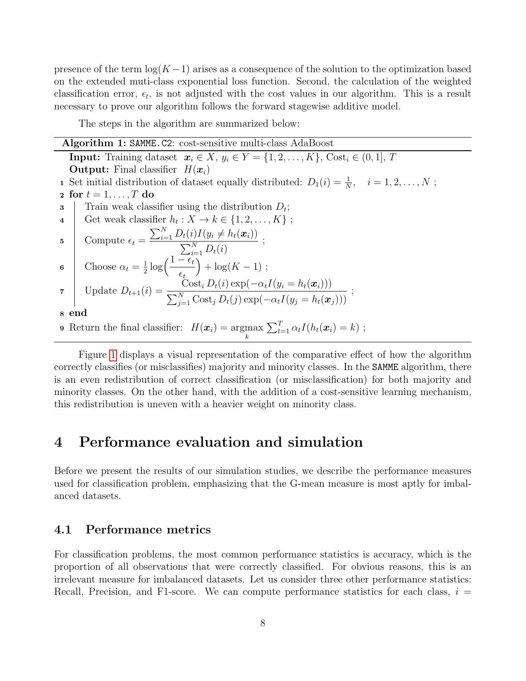presence of the term  $\log(K-1)$  arises as a consequence of the solution to the optimization based on the extended muti-class exponential loss function. Second, the calculation of the weighted classification error,  $\epsilon_t$ , is not adjusted with the cost values in our algorithm. This is a result necessary to prove our algorithm follows the forward stagewise additive model.

The steps in the algorithm are summarized below:

| <b>Algorithm 1: SAMME.C2:</b> cost-sensitive multi-class AdaBoost                                                                                                                                                          |  |  |  |  |  |  |
|----------------------------------------------------------------------------------------------------------------------------------------------------------------------------------------------------------------------------|--|--|--|--|--|--|
| <b>Input:</b> Training dataset $x_i \in X$ , $y_i \in Y = \{1, 2, , K\}$ , Cost <sub>i</sub> $\in (0, 1], T$                                                                                                               |  |  |  |  |  |  |
| <b>Output:</b> Final classifier $H(\boldsymbol{x}_i)$                                                                                                                                                                      |  |  |  |  |  |  |
| 1 Set initial distribution of dataset equally distributed: $D_1(i) = \frac{1}{N}$ , $i = 1, 2, , N$ ;                                                                                                                      |  |  |  |  |  |  |
| 2 for $t = 1, \ldots, T$ do                                                                                                                                                                                                |  |  |  |  |  |  |
| Train weak classifier using the distribution $D_t$ ;<br>3                                                                                                                                                                  |  |  |  |  |  |  |
| Get weak classifier $h_t: X \to k \in \{1, 2, , K\}$ ;<br>$\overline{4}$                                                                                                                                                   |  |  |  |  |  |  |
| 5 Compute $\epsilon_t = \frac{\sum_{i=1}^{N} D_t(i)I(y_i \neq h_t(\boldsymbol{x}_i))}{\sum_{i=1}^{N} D_t(i)}$ ;<br>6 Choose $\alpha_t = \frac{1}{2} \log \left( \frac{1 - \epsilon_t}{\epsilon_t} \right) + \log(K - 1)$ ; |  |  |  |  |  |  |
|                                                                                                                                                                                                                            |  |  |  |  |  |  |
| 7 Update $D_{t+1}(i) = \frac{\text{Cost}_i D_t(i) \exp(-\alpha_t I(y_i = h_t(\boldsymbol{x}_i)))}{\sum_{j=1}^N \text{Cost}_j D_t(j) \exp(-\alpha_t I(y_j = h_t(\boldsymbol{x}_j)))};$                                      |  |  |  |  |  |  |
| 8 end                                                                                                                                                                                                                      |  |  |  |  |  |  |
| <b>9</b> Return the final classifier: $H(\boldsymbol{x}_i) = \underset{k}{\operatorname{argmax}} \sum_{t=1}^T \alpha_t I(h_t(\boldsymbol{x}_i) = k)$ ;                                                                     |  |  |  |  |  |  |

Figure [1](#page-8-0) displays a visual representation of the comparative effect of how the algorithm correctly classifies (or misclassifies) majority and minority classes. In the SAMME algorithm, there is an even redistribution of correct classification (or misclassification) for both majority and minority classes. On the other hand, with the addition of a cost-sensitive learning mechanism, this redistribution is uneven with a heavier weight on minority class.

# <span id="page-7-0"></span>4 Performance evaluation and simulation

Before we present the results of our simulation studies, we describe the performance measures used for classification problem, emphasizing that the G-mean measure is most aptly for imbalanced datasets.

### 4.1 Performance metrics

For classification problems, the most common performance statistics is accuracy, which is the proportion of all observations that were correctly classified. For obvious reasons, this is an irrelevant measure for imbalanced datasets. Let us consider three other performance statistics: Recall, Precision, and F1-score. We can compute performance statistics for each class,  $i =$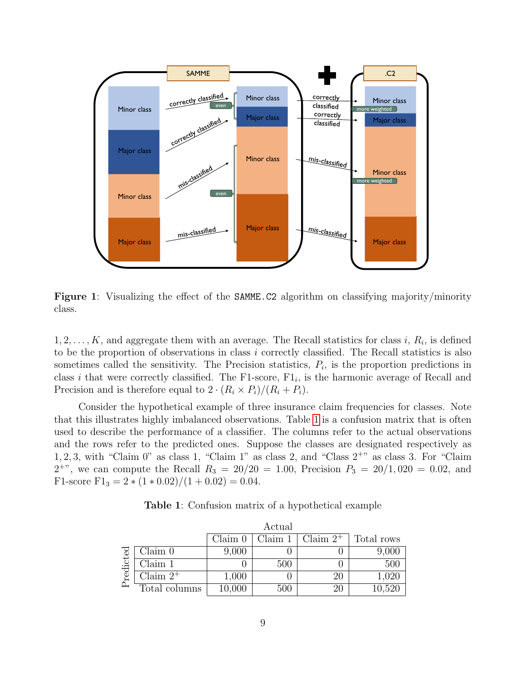<span id="page-8-0"></span>

Figure 1: Visualizing the effect of the SAMME.C2 algorithm on classifying majority/minority class.

 $1, 2, \ldots, K$ , and aggregate them with an average. The Recall statistics for class i,  $R_i$ , is defined to be the proportion of observations in class i correctly classified. The Recall statistics is also sometimes called the sensitivity. The Precision statistics,  $P_i$ , is the proportion predictions in class *i* that were correctly classified. The F1-score,  $F1_i$ , is the harmonic average of Recall and Precision and is therefore equal to  $2 \cdot (R_i \times P_i)/(R_i + P_i)$ .

Consider the hypothetical example of three insurance claim frequencies for classes. Note that this illustrates highly imbalanced observations. Table [1](#page-8-1) is a confusion matrix that is often used to describe the performance of a classifier. The columns refer to the actual observations and the rows refer to the predicted ones. Suppose the classes are designated respectively as  $1, 2, 3$ , with "Claim 0" as class 1, "Claim 1" as class 2, and "Class  $2^{+}$ " as class 3. For "Claim  $2^{+}$ , we can compute the Recall  $R_3 = 20/20 = 1.00$ , Precision  $P_3 = 20/1,020 = 0.02$ , and F1-score F1<sub>3</sub> =  $2 * (1 * 0.02) / (1 + 0.02) = 0.04$ .

Table 1: Confusion matrix of a hypothetical example

<span id="page-8-1"></span>

|          |               | Actual  |         |             |            |  |  |  |  |  |  |
|----------|---------------|---------|---------|-------------|------------|--|--|--|--|--|--|
|          |               | Claim 0 | Claim 1 | Claim $2^+$ | Total rows |  |  |  |  |  |  |
|          | Claim 0       | 9,000   |         |             | 9,000      |  |  |  |  |  |  |
| redicted | Claim 1       |         | 500     |             | 500        |  |  |  |  |  |  |
|          | Claim $2^+$   | 1,000   |         | 20          | 1,020      |  |  |  |  |  |  |
|          | Total columns | 10,000  | 500     | 20          | 10,520     |  |  |  |  |  |  |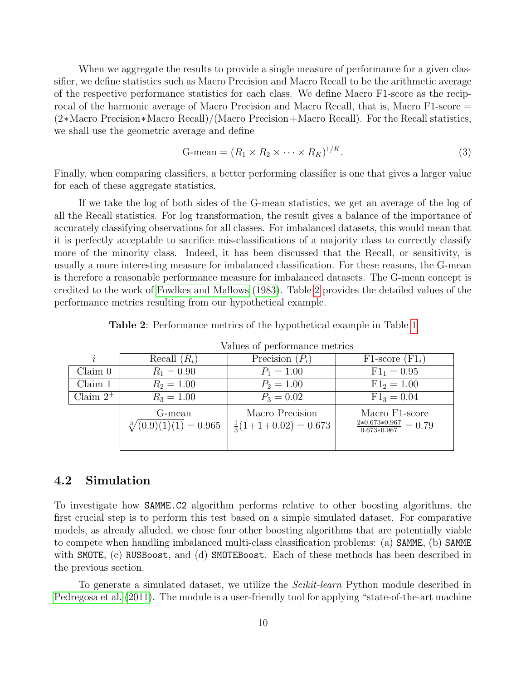When we aggregate the results to provide a single measure of performance for a given classifier, we define statistics such as Macro Precision and Macro Recall to be the arithmetic average of the respective performance statistics for each class. We define Macro F1-score as the reciprocal of the harmonic average of Macro Precision and Macro Recall, that is, Macro F1-score = (2∗Macro Precision∗Macro Recall)/(Macro Precision+Macro Recall). For the Recall statistics, we shall use the geometric average and define

$$
G-mean = (R_1 \times R_2 \times \cdots \times R_K)^{1/K}.
$$
\n(3)

Finally, when comparing classifiers, a better performing classifier is one that gives a larger value for each of these aggregate statistics.

If we take the log of both sides of the G-mean statistics, we get an average of the log of all the Recall statistics. For log transformation, the result gives a balance of the importance of accurately classifying observations for all classes. For imbalanced datasets, this would mean that it is perfectly acceptable to sacrifice mis-classifications of a majority class to correctly classify more of the minority class. Indeed, it has been discussed that the Recall, or sensitivity, is usually a more interesting measure for imbalanced classification. For these reasons, the G-mean is therefore a reasonable performance measure for imbalanced datasets. The G-mean concept is credited to the work of [Fowlkes and Mallows](#page-24-11) [\(1983\)](#page-24-11). Table [2](#page-9-0) provides the detailed values of the performance metrics resulting from our hypothetical example.

<span id="page-9-0"></span>

|             | Values of performance metrics             |                                                  |                                                              |  |  |  |  |  |  |  |  |  |
|-------------|-------------------------------------------|--------------------------------------------------|--------------------------------------------------------------|--|--|--|--|--|--|--|--|--|
| $\dot{i}$   | Recall $(R_i)$                            | Precision $(P_i)$                                | $F1$ -score $(Fl_i)$                                         |  |  |  |  |  |  |  |  |  |
| Claim 0     | $R_1 = 0.90$                              | $P_1 = 1.00$                                     | $F1_1 = 0.95$                                                |  |  |  |  |  |  |  |  |  |
| Claim 1     | $R_2 = 1.00$                              | $P_2 = 1.00$                                     | $F1_2 = 1.00$                                                |  |  |  |  |  |  |  |  |  |
| Claim $2^+$ | $R_3 = 1.00$                              | $P_3 = 0.02$                                     | $F1_3 = 0.04$                                                |  |  |  |  |  |  |  |  |  |
|             | G-mean<br>$\sqrt[3]{(0.9)(1)(1)} = 0.965$ | Macro Precision<br>$\frac{1}{3}(1+1+0.02)=0.673$ | Macro F1-score<br>$\frac{2*0.673*0.967}{0.673*0.967} = 0.79$ |  |  |  |  |  |  |  |  |  |

Table 2: Performance metrics of the hypothetical example in Table [1](#page-8-1)

#### 4.2 Simulation

To investigate how SAMME.C2 algorithm performs relative to other boosting algorithms, the first crucial step is to perform this test based on a simple simulated dataset. For comparative models, as already alluded, we chose four other boosting algorithms that are potentially viable to compete when handling imbalanced multi-class classification problems: (a) SAMME, (b) SAMME with SMOTE, (c) RUSBoost, and (d) SMOTEBoost. Each of these methods has been described in the previous section.

To generate a simulated dataset, we utilize the *Scikit-learn* Python module described in [Pedregosa et al.](#page-25-11) [\(2011\)](#page-25-11). The module is a user-friendly tool for applying "state-of-the-art machine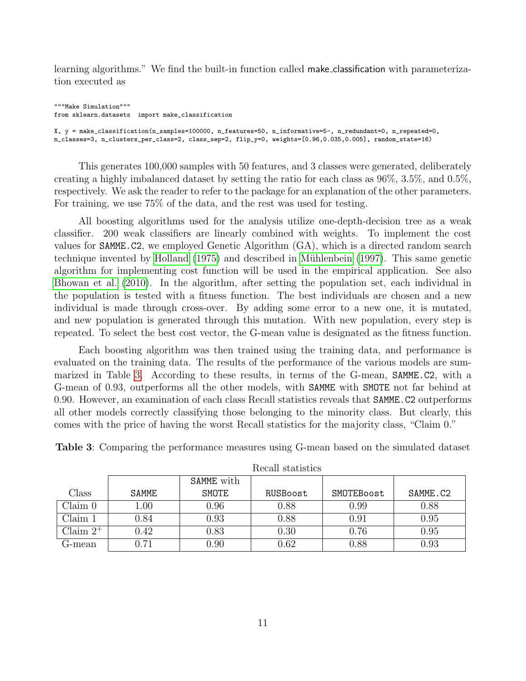learning algorithms." We find the built-in function called make classification with parameterization executed as

"""Make Simulation""" from sklearn.datasets import make\_classification X, y = make\_classification(n\_samples=100000, n\_features=50, n\_informative=5-, n\_redundant=0, n\_repeated=0, n\_classes=3, n\_clusters\_per\_class=2, class\_sep=2, flip\_y=0, weights=[0.96,0.035,0.005], random\_state=16)

This generates 100,000 samples with 50 features, and 3 classes were generated, deliberately creating a highly imbalanced dataset by setting the ratio for each class as 96%, 3.5%, and 0.5%, respectively. We ask the reader to refer to the package for an explanation of the other parameters. For training, we use 75% of the data, and the rest was used for testing.

All boosting algorithms used for the analysis utilize one-depth-decision tree as a weak classifier. 200 weak classifiers are linearly combined with weights. To implement the cost values for SAMME.C2, we employed Genetic Algorithm (GA), which is a directed random search technique invented by [Holland](#page-24-12) [\(1975\)](#page-24-12) and described in Mühlenbein [\(1997\)](#page-25-12). This same genetic algorithm for implementing cost function will be used in the empirical application. See also [Bhowan et al.](#page-23-2) [\(2010\)](#page-23-2). In the algorithm, after setting the population set, each individual in the population is tested with a fitness function. The best individuals are chosen and a new individual is made through cross-over. By adding some error to a new one, it is mutated, and new population is generated through this mutation. With new population, every step is repeated. To select the best cost vector, the G-mean value is designated as the fitness function.

Each boosting algorithm was then trained using the training data, and performance is evaluated on the training data. The results of the performance of the various models are summarized in Table [3.](#page-10-0) According to these results, in terms of the G-mean, SAMME.C2, with a G-mean of 0.93, outperforms all the other models, with SAMME with SMOTE not far behind at 0.90. However, an examination of each class Recall statistics reveals that SAMME.C2 outperforms all other models correctly classifying those belonging to the minority class. But clearly, this comes with the price of having the worst Recall statistics for the majority class, "Claim 0."

|             |              |            | necali statistics |            |          |
|-------------|--------------|------------|-------------------|------------|----------|
|             |              | SAMME with |                   |            |          |
| Class       | <b>SAMME</b> | SMOTE      | RUSBoost          | SMOTEBoost | SAMME.C2 |
| Claim 0     | $1.00\,$     | 0.96       | 0.88              | 0.99       | 0.88     |
| Claim 1     | $0.84\,$     | 0.93       | 0.88              | 0.91       | 0.95     |
| Claim $2^+$ | 0.42         | 0.83       | 0.30              | 0.76       | 0.95     |
| G-mean      | 0.71         | 0.90       | 0.62              | 0.88       | 0.93     |

<span id="page-10-0"></span>Table 3: Comparing the performance measures using G-mean based on the simulated dataset

Recall statistics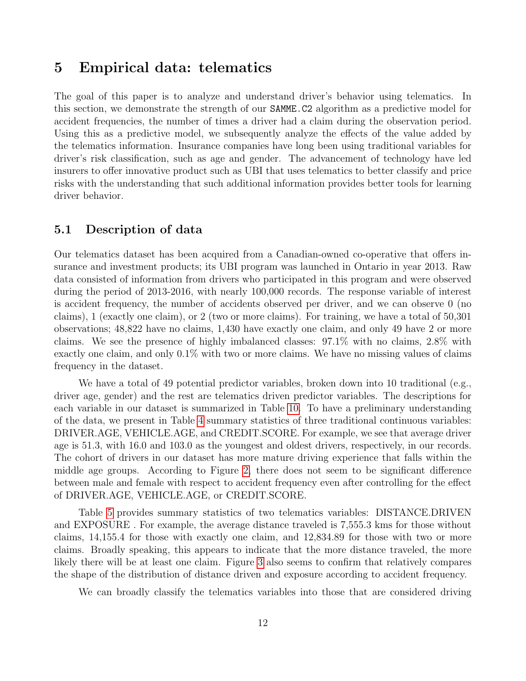### 5 Empirical data: telematics

The goal of this paper is to analyze and understand driver's behavior using telematics. In this section, we demonstrate the strength of our SAMME.C2 algorithm as a predictive model for accident frequencies, the number of times a driver had a claim during the observation period. Using this as a predictive model, we subsequently analyze the effects of the value added by the telematics information. Insurance companies have long been using traditional variables for driver's risk classification, such as age and gender. The advancement of technology have led insurers to offer innovative product such as UBI that uses telematics to better classify and price risks with the understanding that such additional information provides better tools for learning driver behavior.

#### <span id="page-11-0"></span>5.1 Description of data

Our telematics dataset has been acquired from a Canadian-owned co-operative that offers insurance and investment products; its UBI program was launched in Ontario in year 2013. Raw data consisted of information from drivers who participated in this program and were observed during the period of 2013-2016, with nearly 100,000 records. The response variable of interest is accident frequency, the number of accidents observed per driver, and we can observe 0 (no claims), 1 (exactly one claim), or 2 (two or more claims). For training, we have a total of 50,301 observations; 48,822 have no claims, 1,430 have exactly one claim, and only 49 have 2 or more claims. We see the presence of highly imbalanced classes: 97.1% with no claims, 2.8% with exactly one claim, and only 0.1% with two or more claims. We have no missing values of claims frequency in the dataset.

We have a total of 49 potential predictor variables, broken down into 10 traditional (e.g., driver age, gender) and the rest are telematics driven predictor variables. The descriptions for each variable in our dataset is summarized in Table [10.](#page-23-3) To have a preliminary understanding of the data, we present in Table [4](#page-12-0) summary statistics of three traditional continuous variables: DRIVER.AGE, VEHICLE.AGE, and CREDIT.SCORE. For example, we see that average driver age is 51.3, with 16.0 and 103.0 as the youngest and oldest drivers, respectively, in our records. The cohort of drivers in our dataset has more mature driving experience that falls within the middle age groups. According to Figure [2,](#page-12-1) there does not seem to be significant difference between male and female with respect to accident frequency even after controlling for the effect of DRIVER.AGE, VEHICLE.AGE, or CREDIT.SCORE.

Table [5](#page-12-2) provides summary statistics of two telematics variables: DISTANCE.DRIVEN and EXPOSURE . For example, the average distance traveled is 7,555.3 kms for those without claims, 14,155.4 for those with exactly one claim, and 12,834.89 for those with two or more claims. Broadly speaking, this appears to indicate that the more distance traveled, the more likely there will be at least one claim. Figure [3](#page-13-0) also seems to confirm that relatively compares the shape of the distribution of distance driven and exposure according to accident frequency.

We can broadly classify the telematics variables into those that are considered driving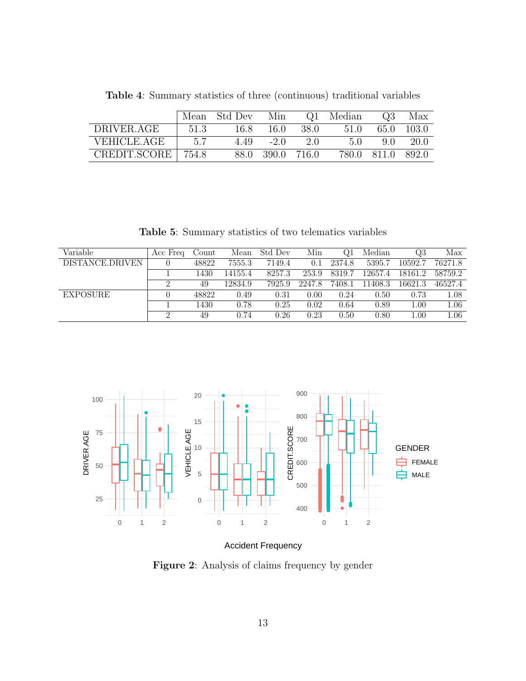<span id="page-12-0"></span>

|              | Mean  | Std Dev | Min        |       | Q1 Median | O.3         | Max    |
|--------------|-------|---------|------------|-------|-----------|-------------|--------|
| DRIVER.AGE   | 51.3  | 16.8    | -16.0      | -38.0 | 51.0      | 65.0        | -103.0 |
| VEHICLE.AGE  | 5.7   | 4.49    | $-2.0$     | 20    | 5(        | 9 O         | 20 O   |
| CREDIT.SCORE | 754.8 |         | 88.0 390.0 | 716.0 |           | 780.0 811.0 | -892.0 |

Table 4: Summary statistics of three (continuous) traditional variables

Table 5: Summary statistics of two telematics variables

<span id="page-12-2"></span>

| Variable        | Acc Freq   | Count | Mean    | Std Dev | Min    |        | Median  | $\Omega$ 3 | Max     |
|-----------------|------------|-------|---------|---------|--------|--------|---------|------------|---------|
| DISTANCE.DRIVEN |            | 48822 | 7555.3  | 7149.4  | 0.1    | 2374.8 | 5395.7  | 10592.7    | 76271.8 |
|                 |            | 1430  | 14155.4 | 8257.3  | 253.9  | 8319.7 | 12657.4 | 18161.2    | 58759.2 |
|                 | $\epsilon$ | 49    | 12834.9 | 7925.9  | 2247.8 | 7408.1 | 11408.3 | 16621.3    | 46527.4 |
| <b>EXPOSURE</b> |            | 48822 | 0.49    | 0.31    | 0.00   | 0.24   | 0.50    | 0.73       | 1.08    |
|                 |            | 1430  | 0.78    | 0.25    | 0.02   | 0.64   | 0.89    | 1.00       | 1.06    |
|                 | $\Omega$   | 49    | 0.74    | 0.26    | 0.23   | 0.50   | 0.80    | 1.00       | 1.06    |

<span id="page-12-1"></span>

Accident Frequency

Figure 2: Analysis of claims frequency by gender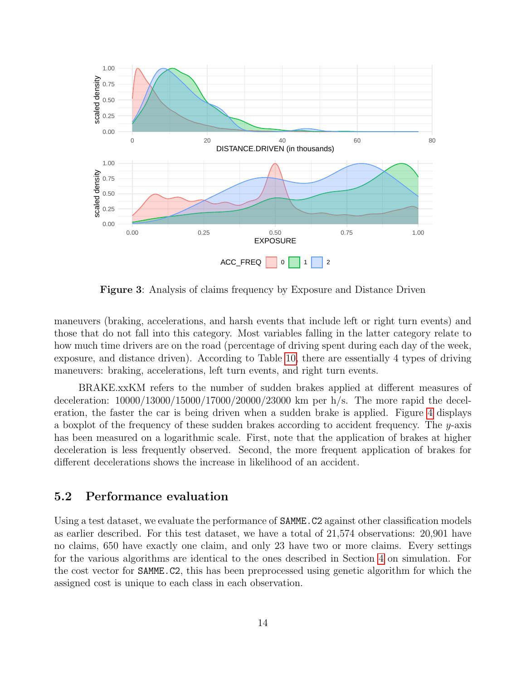<span id="page-13-0"></span>

Figure 3: Analysis of claims frequency by Exposure and Distance Driven

maneuvers (braking, accelerations, and harsh events that include left or right turn events) and those that do not fall into this category. Most variables falling in the latter category relate to how much time drivers are on the road (percentage of driving spent during each day of the week, exposure, and distance driven). According to Table [10,](#page-23-3) there are essentially 4 types of driving maneuvers: braking, accelerations, left turn events, and right turn events.

BRAKE.xxKM refers to the number of sudden brakes applied at different measures of deceleration: 10000/13000/15000/17000/20000/23000 km per h/s. The more rapid the deceleration, the faster the car is being driven when a sudden brake is applied. Figure [4](#page-14-0) displays a boxplot of the frequency of these sudden brakes according to accident frequency. The y-axis has been measured on a logarithmic scale. First, note that the application of brakes at higher deceleration is less frequently observed. Second, the more frequent application of brakes for different decelerations shows the increase in likelihood of an accident.

### 5.2 Performance evaluation

Using a test dataset, we evaluate the performance of **SAMME.** C2 against other classification models as earlier described. For this test dataset, we have a total of 21,574 observations: 20,901 have no claims, 650 have exactly one claim, and only 23 have two or more claims. Every settings for the various algorithms are identical to the ones described in Section [4](#page-7-0) on simulation. For the cost vector for SAMME.C2, this has been preprocessed using genetic algorithm for which the assigned cost is unique to each class in each observation.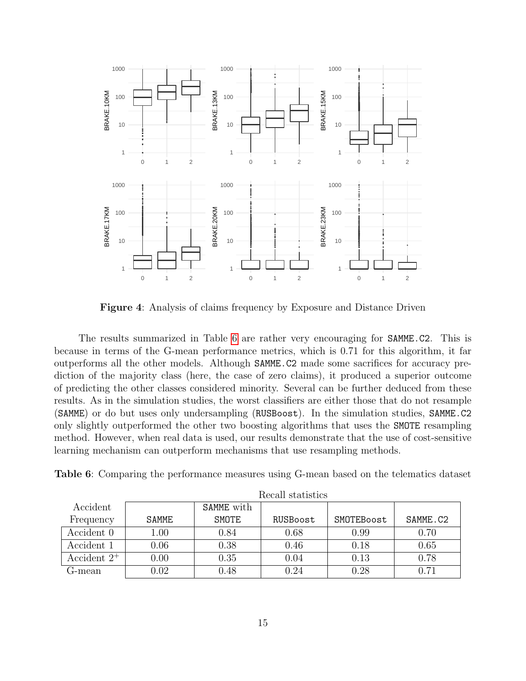<span id="page-14-0"></span>

Figure 4: Analysis of claims frequency by Exposure and Distance Driven

The results summarized in Table [6](#page-14-1) are rather very encouraging for SAMME.C2. This is because in terms of the G-mean performance metrics, which is 0.71 for this algorithm, it far outperforms all the other models. Although SAMME.C2 made some sacrifices for accuracy prediction of the majority class (here, the case of zero claims), it produced a superior outcome of predicting the other classes considered minority. Several can be further deduced from these results. As in the simulation studies, the worst classifiers are either those that do not resample (SAMME) or do but uses only undersampling (RUSBoost). In the simulation studies, SAMME.C2 only slightly outperformed the other two boosting algorithms that uses the SMOTE resampling method. However, when real data is used, our results demonstrate that the use of cost-sensitive learning mechanism can outperform mechanisms that use resampling methods.

<span id="page-14-1"></span>Table 6: Comparing the performance measures using G-mean based on the telematics dataset

|                |          |            | TROOMII DUQUIDULOD |            |          |
|----------------|----------|------------|--------------------|------------|----------|
| Accident       |          | SAMME with |                    |            |          |
| Frequency      | SAMME    | SMOTE      | RUSBoost           | SMOTEBoost | SAMME.C2 |
| Accident 0     | $1.00\,$ | 0.84       | 0.68               | 0.99       | 0.70     |
| Accident 1     | 0.06     | 0.38       | 0.46               | 0.18       | 0.65     |
| Accident $2^+$ | 0.00     | 0.35       | 0.04               | 0.13       | 0.78     |
| G-mean         | $0.02\,$ | $0.48\,$   | 0.24               | 0.28       | 0.71     |

Recall statistics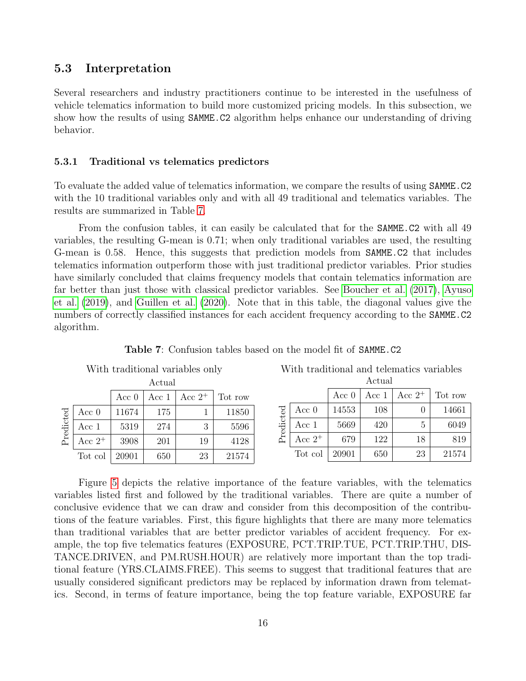#### 5.3 Interpretation

Several researchers and industry practitioners continue to be interested in the usefulness of vehicle telematics information to build more customized pricing models. In this subsection, we show how the results of using SAMME.C2 algorithm helps enhance our understanding of driving behavior.

#### 5.3.1 Traditional vs telematics predictors

To evaluate the added value of telematics information, we compare the results of using SAMME.C2 with the 10 traditional variables only and with all 49 traditional and telematics variables. The results are summarized in Table [7.](#page-15-0)

From the confusion tables, it can easily be calculated that for the **SAMME.C2** with all 49 variables, the resulting G-mean is 0.71; when only traditional variables are used, the resulting G-mean is 0.58. Hence, this suggests that prediction models from SAMME.C2 that includes telematics information outperform those with just traditional predictor variables. Prior studies have similarly concluded that claims frequency models that contain telematics information are far better than just those with classical predictor variables. See [Boucher et al.](#page-24-0) [\(2017\)](#page-24-0), [Ayuso](#page-23-1) [et al.](#page-23-1) [\(2019\)](#page-23-1), and [Guillen et al.](#page-24-3) [\(2020\)](#page-24-3). Note that in this table, the diagonal values give the numbers of correctly classified instances for each accident frequency according to the SAMME.C2 algorithm.

<span id="page-15-0"></span>

|           |           |         |        | With traditional variables only |         |           | With traditional and telematics variables |         |         |           |         |
|-----------|-----------|---------|--------|---------------------------------|---------|-----------|-------------------------------------------|---------|---------|-----------|---------|
|           |           |         | Actual |                                 |         |           |                                           |         | Actual  |           |         |
|           |           | Acc $0$ | Acc 1  | Acc $2^+$                       | Tot row |           |                                           | Acc $0$ | Acc $1$ | Acc $2^+$ | Tot row |
|           | Acc $0$   | 11674   | 175    |                                 | 11850   |           | Acc $0$                                   | 14553   | 108     |           | 14661   |
| Predicted | Acc 1     | 5319    | 274    | 3                               | 5596    | Predicted | Acc 1                                     | 5669    | 420     | 5         | 6049    |
|           | Acc $2^+$ | 3908    | 201    | 19                              | 4128    |           | Acc $2^+$                                 | 679     | 122     | 18        | 819     |
|           | Tot col   | 20901   | 650    | 23                              | 21574   |           | Tot col                                   | 20901   | 650     | 23        | 21574   |

Table 7: Confusion tables based on the model fit of SAMME.C2

Figure [5](#page-16-0) depicts the relative importance of the feature variables, with the telematics variables listed first and followed by the traditional variables. There are quite a number of conclusive evidence that we can draw and consider from this decomposition of the contributions of the feature variables. First, this figure highlights that there are many more telematics than traditional variables that are better predictor variables of accident frequency. For example, the top five telematics features (EXPOSURE, PCT.TRIP.TUE, PCT.TRIP.THU, DIS-TANCE.DRIVEN, and PM.RUSH.HOUR) are relatively more important than the top traditional feature (YRS.CLAIMS.FREE). This seems to suggest that traditional features that are usually considered significant predictors may be replaced by information drawn from telematics. Second, in terms of feature importance, being the top feature variable, EXPOSURE far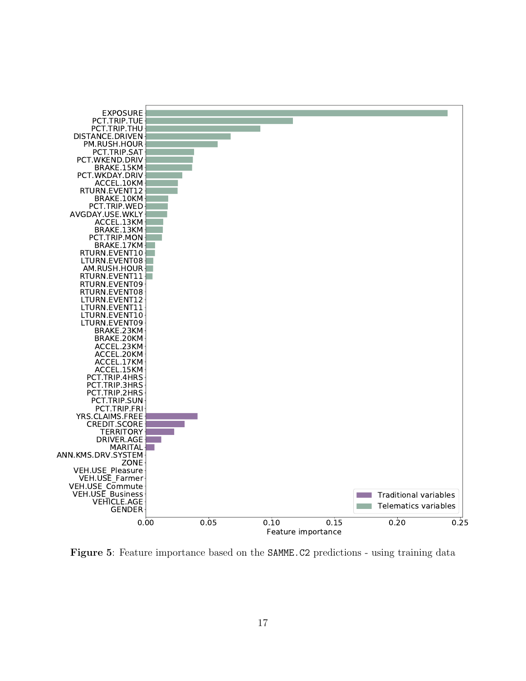<span id="page-16-0"></span>

Figure 5: Feature importance based on the SAMME.C2 predictions - using training data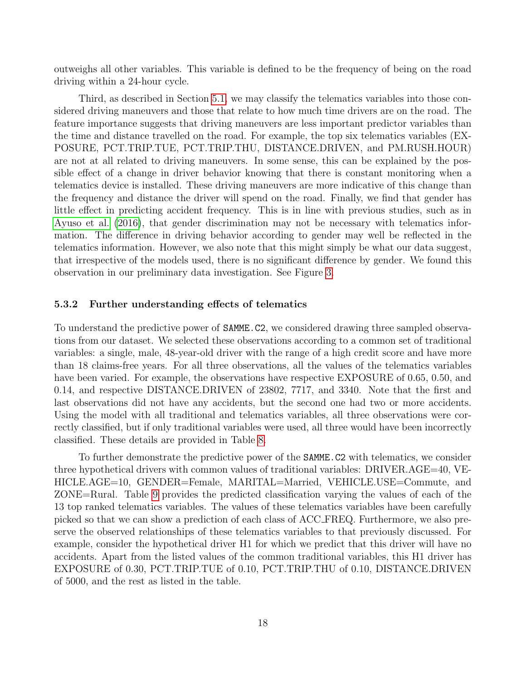outweighs all other variables. This variable is defined to be the frequency of being on the road driving within a 24-hour cycle.

Third, as described in Section [5.1,](#page-11-0) we may classify the telematics variables into those considered driving maneuvers and those that relate to how much time drivers are on the road. The feature importance suggests that driving maneuvers are less important predictor variables than the time and distance travelled on the road. For example, the top six telematics variables (EX-POSURE, PCT.TRIP.TUE, PCT.TRIP.THU, DISTANCE.DRIVEN, and PM.RUSH.HOUR) are not at all related to driving maneuvers. In some sense, this can be explained by the possible effect of a change in driver behavior knowing that there is constant monitoring when a telematics device is installed. These driving maneuvers are more indicative of this change than the frequency and distance the driver will spend on the road. Finally, we find that gender has little effect in predicting accident frequency. This is in line with previous studies, such as in [Ayuso et al.](#page-23-0) [\(2016\)](#page-23-0), that gender discrimination may not be necessary with telematics information. The difference in driving behavior according to gender may well be reflected in the telematics information. However, we also note that this might simply be what our data suggest, that irrespective of the models used, there is no significant difference by gender. We found this observation in our preliminary data investigation. See Figure [3.](#page-13-0)

#### 5.3.2 Further understanding effects of telematics

To understand the predictive power of SAMME.C2, we considered drawing three sampled observations from our dataset. We selected these observations according to a common set of traditional variables: a single, male, 48-year-old driver with the range of a high credit score and have more than 18 claims-free years. For all three observations, all the values of the telematics variables have been varied. For example, the observations have respective EXPOSURE of 0.65, 0.50, and 0.14, and respective DISTANCE.DRIVEN of 23802, 7717, and 3340. Note that the first and last observations did not have any accidents, but the second one had two or more accidents. Using the model with all traditional and telematics variables, all three observations were correctly classified, but if only traditional variables were used, all three would have been incorrectly classified. These details are provided in Table [8.](#page-18-0)

To further demonstrate the predictive power of the SAMME.C2 with telematics, we consider three hypothetical drivers with common values of traditional variables: DRIVER.AGE=40, VE-HICLE.AGE=10, GENDER=Female, MARITAL=Married, VEHICLE.USE=Commute, and ZONE=Rural. Table [9](#page-18-1) provides the predicted classification varying the values of each of the 13 top ranked telematics variables. The values of these telematics variables have been carefully picked so that we can show a prediction of each class of ACC FREQ. Furthermore, we also preserve the observed relationships of these telematics variables to that previously discussed. For example, consider the hypothetical driver H1 for which we predict that this driver will have no accidents. Apart from the listed values of the common traditional variables, this H1 driver has EXPOSURE of 0.30, PCT.TRIP.TUE of 0.10, PCT.TRIP.THU of 0.10, DISTANCE.DRIVEN of 5000, and the rest as listed in the table.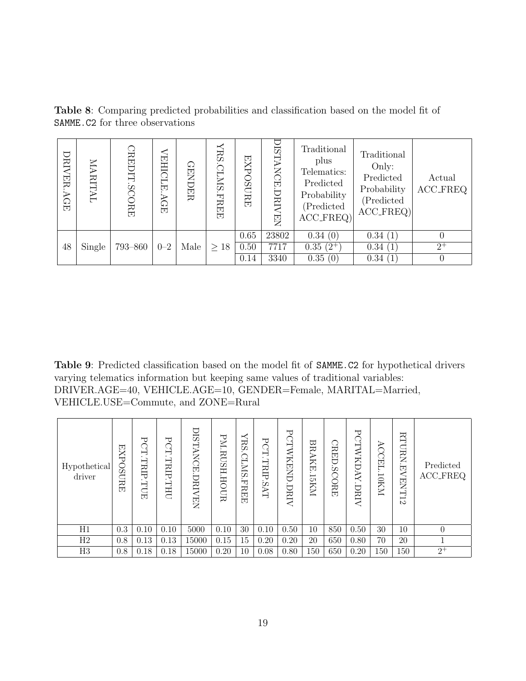| DRIVER<br><b>AGE</b> | MARITAL | CREDIT<br><b>SCORE</b> | <b>VEHICLE</b><br>AGE | <b>GENDER</b> | $\prec$<br>RS<br>CLMS<br><b>FREED</b> | <b>EXPOSURE</b> | <b>DIS</b><br><b>TANCE.</b><br>DRI.<br><b>NEN</b> | Traditional<br>plus<br>Telematics:<br>Predicted<br>Probability<br>(Predicted<br>$ACC\_FREQ$ | Traditional<br>Only:<br>Predicted<br>Probability<br>(Predicted<br>$ACC_FREQ$ | Actual<br><b>ACC_FREQ</b> |
|----------------------|---------|------------------------|-----------------------|---------------|---------------------------------------|-----------------|---------------------------------------------------|---------------------------------------------------------------------------------------------|------------------------------------------------------------------------------|---------------------------|
|                      |         |                        |                       |               |                                       | 0.65            | 23802                                             | 0.34(0)                                                                                     | 0.34(1)                                                                      |                           |
| 48                   | Single  | 793-860                | $0 - 2$               | Male          | $\geq 18$                             | 0.50            | 7717                                              | $0.35(2^{+})$                                                                               | 0.34(1)                                                                      | $2^{+}$                   |
|                      |         |                        |                       |               |                                       | 0.14            | 3340                                              | 0.35(0)                                                                                     | 0.34(1)                                                                      | 0                         |

<span id="page-18-0"></span>Table 8: Comparing predicted probabilities and classification based on the model fit of SAMME.C2 for three observations

<span id="page-18-1"></span>Table 9: Predicted classification based on the model fit of SAMME.C2 for hypothetical drivers varying telematics information but keeping same values of traditional variables: DRIVER.AGE=40, VEHICLE.AGE=10, GENDER=Female, MARITAL=Married, VEHICLE.USE=Commute, and ZONE=Rural

| Hypothetical<br>driver | EXP<br>$\overline{MSO}$<br>보<br>모 | ℸ<br>G<br><b>TRIP.TUE</b> | ᢣ<br>G<br>TRIP.THU | <b>ISTANCE</b> .<br>DRI<br>면<br>Z | PM.RUSH.HOUR | RS<br>CLMS<br><b>FREE</b> | ᇦ<br>Ğ<br>TRIP.<br>Ċ۵<br>$\mathbb H$ | ⊣<br><b>CLANREND</b><br><b>JRIV</b> | BRAKE.<br>ISKNI. | CRED.SCORE | 乚<br>CTWKDAY.DRIV | ACCEL.10KM | <b>RTURN</b><br>EVENT12 | Predicted<br><b>ACC_FREQ</b> |
|------------------------|-----------------------------------|---------------------------|--------------------|-----------------------------------|--------------|---------------------------|--------------------------------------|-------------------------------------|------------------|------------|-------------------|------------|-------------------------|------------------------------|
| H1                     | 0.3                               | 0.10                      | 0.10               | 5000                              | 0.10         | 30                        | 0.10                                 | 0.50                                | 10               | 850        | 0.50              | 30         | 10                      | $\theta$                     |
| H2                     | 0.8                               | 0.13                      | 0.13               | 15000                             | 0.15         | 15                        | 0.20                                 | 0.20                                | 20               | 650        | 0.80              | 70         | $20\,$                  | $\mathbf{1}$                 |
| H3                     | 0.8                               | 0.18                      | 0.18               | 15000                             | 0.20         | 10                        | 0.08                                 | 0.80                                | 150              | 650        | 0.20              | 150        | 150                     | $2^+$                        |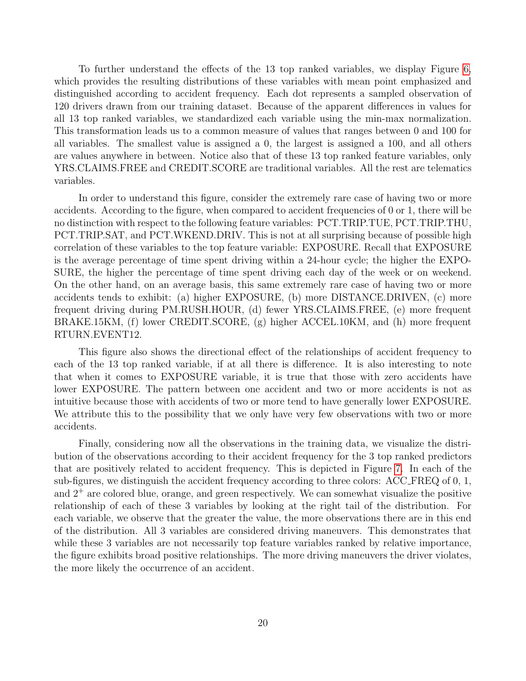To further understand the effects of the 13 top ranked variables, we display Figure [6,](#page-20-0) which provides the resulting distributions of these variables with mean point emphasized and distinguished according to accident frequency. Each dot represents a sampled observation of 120 drivers drawn from our training dataset. Because of the apparent differences in values for all 13 top ranked variables, we standardized each variable using the min-max normalization. This transformation leads us to a common measure of values that ranges between 0 and 100 for all variables. The smallest value is assigned a 0, the largest is assigned a 100, and all others are values anywhere in between. Notice also that of these 13 top ranked feature variables, only YRS.CLAIMS.FREE and CREDIT.SCORE are traditional variables. All the rest are telematics variables.

In order to understand this figure, consider the extremely rare case of having two or more accidents. According to the figure, when compared to accident frequencies of 0 or 1, there will be no distinction with respect to the following feature variables: PCT.TRIP.TUE, PCT.TRIP.THU, PCT.TRIP.SAT, and PCT.WKEND.DRIV. This is not at all surprising because of possible high correlation of these variables to the top feature variable: EXPOSURE. Recall that EXPOSURE is the average percentage of time spent driving within a 24-hour cycle; the higher the EXPO-SURE, the higher the percentage of time spent driving each day of the week or on weekend. On the other hand, on an average basis, this same extremely rare case of having two or more accidents tends to exhibit: (a) higher EXPOSURE, (b) more DISTANCE.DRIVEN, (c) more frequent driving during PM.RUSH.HOUR, (d) fewer YRS.CLAIMS.FREE, (e) more frequent BRAKE.15KM, (f) lower CREDIT.SCORE, (g) higher ACCEL.10KM, and (h) more frequent RTURN.EVENT12.

This figure also shows the directional effect of the relationships of accident frequency to each of the 13 top ranked variable, if at all there is difference. It is also interesting to note that when it comes to EXPOSURE variable, it is true that those with zero accidents have lower EXPOSURE. The pattern between one accident and two or more accidents is not as intuitive because those with accidents of two or more tend to have generally lower EXPOSURE. We attribute this to the possibility that we only have very few observations with two or more accidents.

Finally, considering now all the observations in the training data, we visualize the distribution of the observations according to their accident frequency for the 3 top ranked predictors that are positively related to accident frequency. This is depicted in Figure [7.](#page-20-1) In each of the sub-figures, we distinguish the accident frequency according to three colors: ACC FREQ of 0, 1, and  $2^+$  are colored blue, orange, and green respectively. We can somewhat visualize the positive relationship of each of these 3 variables by looking at the right tail of the distribution. For each variable, we observe that the greater the value, the more observations there are in this end of the distribution. All 3 variables are considered driving maneuvers. This demonstrates that while these 3 variables are not necessarily top feature variables ranked by relative importance, the figure exhibits broad positive relationships. The more driving maneuvers the driver violates, the more likely the occurrence of an accident.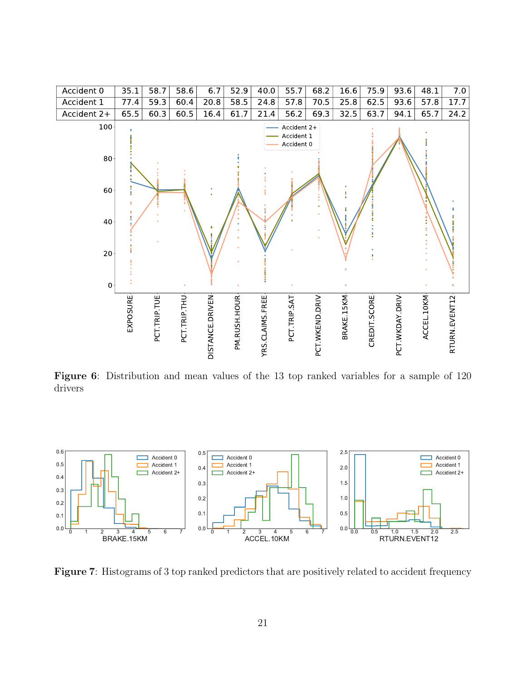<span id="page-20-0"></span>

Figure 6: Distribution and mean values of the 13 top ranked variables for a sample of 120 drivers

<span id="page-20-1"></span>

Figure 7: Histograms of 3 top ranked predictors that are positively related to accident frequency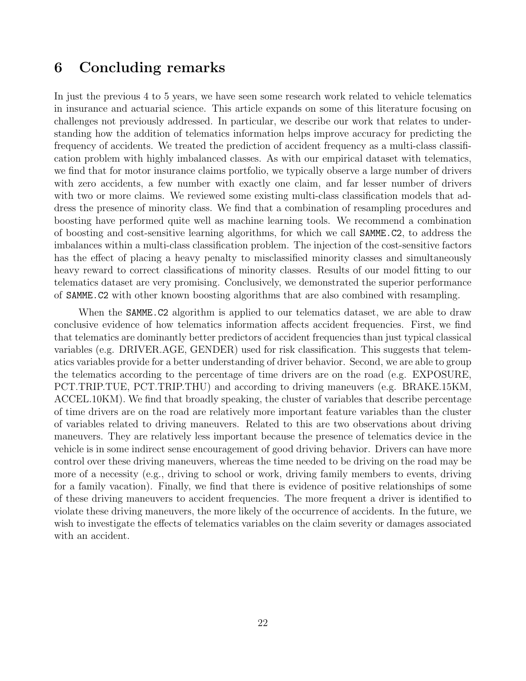# 6 Concluding remarks

In just the previous 4 to 5 years, we have seen some research work related to vehicle telematics in insurance and actuarial science. This article expands on some of this literature focusing on challenges not previously addressed. In particular, we describe our work that relates to understanding how the addition of telematics information helps improve accuracy for predicting the frequency of accidents. We treated the prediction of accident frequency as a multi-class classification problem with highly imbalanced classes. As with our empirical dataset with telematics, we find that for motor insurance claims portfolio, we typically observe a large number of drivers with zero accidents, a few number with exactly one claim, and far lesser number of drivers with two or more claims. We reviewed some existing multi-class classification models that address the presence of minority class. We find that a combination of resampling procedures and boosting have performed quite well as machine learning tools. We recommend a combination of boosting and cost-sensitive learning algorithms, for which we call SAMME.C2, to address the imbalances within a multi-class classification problem. The injection of the cost-sensitive factors has the effect of placing a heavy penalty to misclassified minority classes and simultaneously heavy reward to correct classifications of minority classes. Results of our model fitting to our telematics dataset are very promising. Conclusively, we demonstrated the superior performance of SAMME.C2 with other known boosting algorithms that are also combined with resampling.

When the **SAMME.C2** algorithm is applied to our telematics dataset, we are able to draw conclusive evidence of how telematics information affects accident frequencies. First, we find that telematics are dominantly better predictors of accident frequencies than just typical classical variables (e.g. DRIVER.AGE, GENDER) used for risk classification. This suggests that telematics variables provide for a better understanding of driver behavior. Second, we are able to group the telematics according to the percentage of time drivers are on the road (e.g. EXPOSURE, PCT.TRIP.TUE, PCT.TRIP.THU) and according to driving maneuvers (e.g. BRAKE.15KM, ACCEL.10KM). We find that broadly speaking, the cluster of variables that describe percentage of time drivers are on the road are relatively more important feature variables than the cluster of variables related to driving maneuvers. Related to this are two observations about driving maneuvers. They are relatively less important because the presence of telematics device in the vehicle is in some indirect sense encouragement of good driving behavior. Drivers can have more control over these driving maneuvers, whereas the time needed to be driving on the road may be more of a necessity (e.g., driving to school or work, driving family members to events, driving for a family vacation). Finally, we find that there is evidence of positive relationships of some of these driving maneuvers to accident frequencies. The more frequent a driver is identified to violate these driving maneuvers, the more likely of the occurrence of accidents. In the future, we wish to investigate the effects of telematics variables on the claim severity or damages associated with an accident.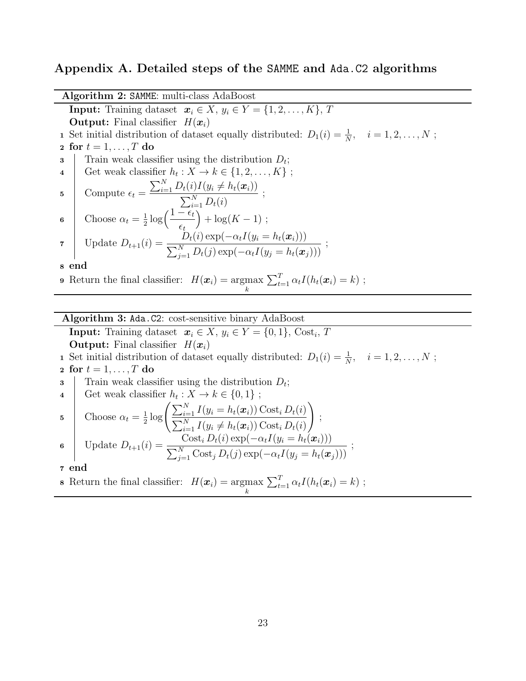#### Appendix A. Detailed steps of the SAMME and Ada.C2 algorithms

Algorithm 2: SAMME: multi-class AdaBoost **Input:** Training dataset  $x_i \in X$ ,  $y_i \in Y = \{1, 2, ..., K\}$ , T **Output:** Final classifier  $H(x_i)$ 1 Set initial distribution of dataset equally distributed:  $D_1(i) = \frac{1}{N}$ ,  $i = 1, 2, ..., N$ ; 2 for  $t = 1, \ldots, T$  do 3 Train weak classifier using the distribution  $D_t$ ; 4 Get weak classifier  $h_t: X \to k \in \{1, 2, ..., K\}$ ; 5 Compute  $\epsilon_t =$  $\sum_{i=1}^{N} D_t(i) I(y_i \neq h_t(\boldsymbol{x}_i))$  $\frac{\sum_{i=1}^{N} D_t(i)}{\sum_{i=1}^{N} D_t(i)}$  $\sum_{i=1}^{N} D_t(i)$ 6 Choose  $\alpha_t = \frac{1}{2}$  $\frac{1}{2} \log \left( \frac{1 - \epsilon_t}{\epsilon} \right)$  $\epsilon_t$  $+ \log(K - 1)$ ; 7 Update  $D_{t+1}(i) = \frac{D_t(i) \exp(-\alpha_t I(y_i = h_t(x_i)))}{\sum_{k=1}^{N} D_t(i) \exp(-\alpha_t I(y_i = h_t(x_i)))}$  $\sum_{j=1}^{N} D_t(j) \exp(-\alpha_t I(y_j = h_t(\boldsymbol{x}_j)))$ ; <sup>8</sup> end **9** Return the final classifier:  $H(\boldsymbol{x}_i) = \text{argmax}$ k  $\sum_{t=1}^{T} \alpha_t I(h_t(\boldsymbol{x}_i) = k);$ 

Algorithm 3: Ada.C2: cost-sensitive binary AdaBoost

**Input:** Training dataset  $x_i \in X$ ,  $y_i \in Y = \{0, 1\}$ , Cost<sub>i</sub>, T **Output:** Final classifier  $H(\boldsymbol{x}_i)$ 

**1** Set initial distribution of dataset equally distributed:  $D_1(i) = \frac{1}{N}$ ,  $i = 1, 2, ..., N$ ; 2 for  $t = 1, \ldots, T$  do

3 Train weak classifier using the distribution  $D_t$ ;

4  
\nGet weak classifier 
$$
h_t : X \to k \in \{0, 1\}
$$
;  
\n5  
\nChoose  $\alpha_t = \frac{1}{2} \log \left( \frac{\sum_{i=1}^N I(y_i = h_t(\boldsymbol{x}_i)) \text{Cost}_i D_t(i)}{\sum_{i=1}^N I(y_i \neq h_t(\boldsymbol{x}_i)) \text{Cost}_i D_t(i)} \right)$ ;  
\n6  
\nUpdate  $D_{t+1}(i) = \frac{\text{Cost}_i D_t(i) \exp(-\alpha_t I(y_i = h_t(\boldsymbol{x}_i)))}{\sum_{j=1}^N \text{Cost}_j D_t(j) \exp(-\alpha_t I(y_j = h_t(\boldsymbol{x}_j)))}$ ;

<span id="page-22-0"></span>**8** Return the final classifier: 
$$
H(\boldsymbol{x}_i) = \underset{k}{\operatorname{argmax}} \sum_{t=1}^T \alpha_t I(h_t(\boldsymbol{x}_i) = k)
$$
;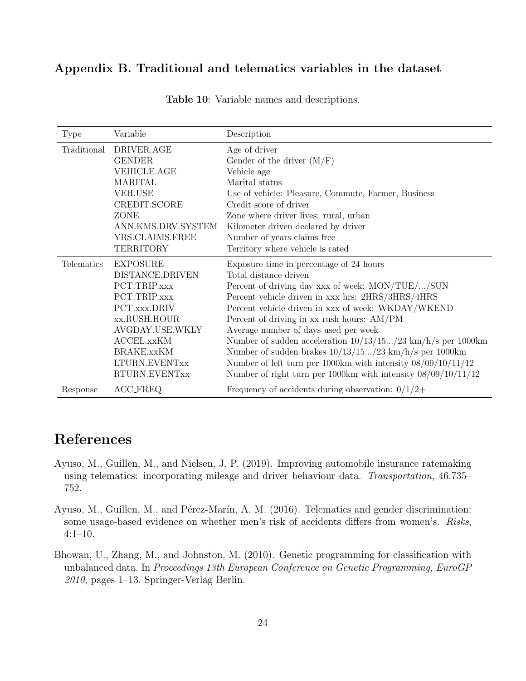### <span id="page-23-3"></span>Appendix B. Traditional and telematics variables in the dataset

| Type              | Variable           | Description                                                       |
|-------------------|--------------------|-------------------------------------------------------------------|
| Traditional       | DRIVER.AGE         | Age of driver                                                     |
|                   | <b>GENDER</b>      | Gender of the driver $(M/F)$                                      |
|                   | <b>VEHICLE.AGE</b> | Vehicle age                                                       |
|                   | <b>MARITAL</b>     | Marital status                                                    |
|                   | <b>VEH.USE</b>     | Use of vehicle: Pleasure, Commute, Farmer, Business               |
|                   | CREDIT.SCORE       | Credit score of driver                                            |
|                   | ZONE               | Zone where driver lives: rural, urban                             |
|                   | ANN.KMS.DRV.SYSTEM | Kilometer driven declared by driver                               |
|                   | YRS.CLAIMS.FREE    | Number of years claims free                                       |
|                   | <b>TERRITORY</b>   | Territory where vehicle is rated                                  |
| <b>Telematics</b> | <b>EXPOSURE</b>    | Exposure time in percentage of 24 hours                           |
|                   | DISTANCE.DRIVEN    | Total distance driven                                             |
|                   | PCT.TRIP.xxx       | Percent of driving day xxx of week: MON/TUE//SUN                  |
|                   | PCT.TRIP.xxx       | Percent vehicle driven in xxx hrs: 2HRS/3HRS/4HRS                 |
|                   | PCT.xxx.DRIV       | Percent vehicle driven in xxx of week: WKDAY/WKEND                |
|                   | xx.RUSH.HOUR       | Percent of driving in xx rush hours: AM/PM                        |
|                   | AVGDAY.USE.WKLY    | Average number of days used per week                              |
|                   | ACCEL.xxKM         | Number of sudden acceleration $10/13/15/23$ km/h/s per 1000km     |
|                   | <b>BRAKE.xxKM</b>  | Number of sudden brakes $10/13/15(23 \text{ km/h/s} )$ per 1000km |
|                   | LTURN.EVENTxx      | Number of left turn per 1000km with intensity $08/09/10/11/12$    |
|                   | RTURN.EVENTxx      | Number of right turn per 1000km with intensity $08/09/10/11/12$   |
| Response          | ACC_FREQ           | Frequency of accidents during observation: $0/1/2+$               |

Table 10: Variable names and descriptions.

# References

- <span id="page-23-1"></span>Ayuso, M., Guillen, M., and Nielsen, J. P. (2019). Improving automobile insurance ratemaking using telematics: incorporating mileage and driver behaviour data. Transportation, 46:735– 752.
- <span id="page-23-0"></span>Ayuso, M., Guillen, M., and Pérez-Marín, A. M. (2016). Telematics and gender discrimination: some usage-based evidence on whether men's risk of accidents differs from women's. Risks, 4:1–10.
- <span id="page-23-2"></span>Bhowan, U., Zhang, M., and Johnston, M. (2010). Genetic programming for classification with unbalanced data. In Proceedings 13th European Conference on Genetic Programming, EuroGP 2010, pages 1–13. Springer-Verlag Berlin.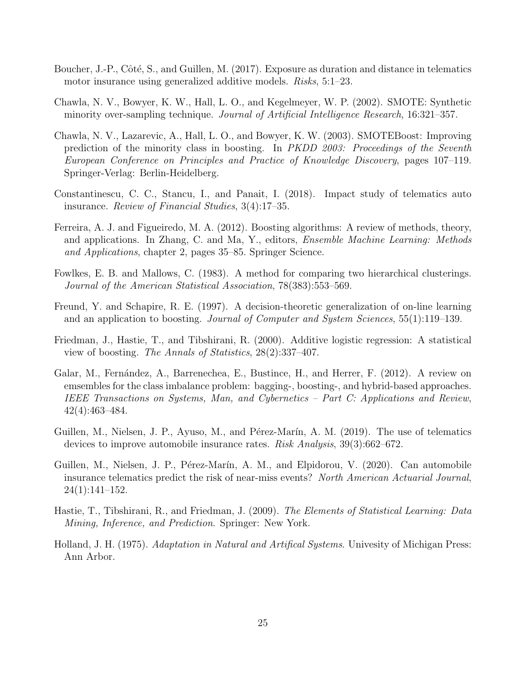- <span id="page-24-0"></span>Boucher, J.-P., Côté, S., and Guillen, M. (2017). Exposure as duration and distance in telematics motor insurance using generalized additive models. Risks, 5:1–23.
- <span id="page-24-5"></span>Chawla, N. V., Bowyer, K. W., Hall, L. O., and Kegelmeyer, W. P. (2002). SMOTE: Synthetic minority over-sampling technique. Journal of Artificial Intelligence Research, 16:321–357.
- <span id="page-24-9"></span>Chawla, N. V., Lazarevic, A., Hall, L. O., and Bowyer, K. W. (2003). SMOTEBoost: Improving prediction of the minority class in boosting. In PKDD 2003: Proceedings of the Seventh European Conference on Principles and Practice of Knowledge Discovery, pages 107–119. Springer-Verlag: Berlin-Heidelberg.
- <span id="page-24-2"></span>Constantinescu, C. C., Stancu, I., and Panait, I. (2018). Impact study of telematics auto insurance. Review of Financial Studies, 3(4):17–35.
- <span id="page-24-8"></span>Ferreira, A. J. and Figueiredo, M. A. (2012). Boosting algorithms: A review of methods, theory, and applications. In Zhang, C. and Ma, Y., editors, Ensemble Machine Learning: Methods and Applications, chapter 2, pages 35–85. Springer Science.
- <span id="page-24-11"></span>Fowlkes, E. B. and Mallows, C. (1983). A method for comparing two hierarchical clusterings. Journal of the American Statistical Association, 78(383):553–569.
- <span id="page-24-4"></span>Freund, Y. and Schapire, R. E. (1997). A decision-theoretic generalization of on-line learning and an application to boosting. Journal of Computer and System Sciences, 55(1):119–139.
- <span id="page-24-7"></span>Friedman, J., Hastie, T., and Tibshirani, R. (2000). Additive logistic regression: A statistical view of boosting. The Annals of Statistics, 28(2):337–407.
- <span id="page-24-10"></span>Galar, M., Fernández, A., Barrenechea, E., Bustince, H., and Herrer, F. (2012). A review on emsembles for the class imbalance problem: bagging-, boosting-, and hybrid-based approaches. IEEE Transactions on Systems, Man, and Cybernetics – Part C: Applications and Review, 42(4):463–484.
- <span id="page-24-1"></span>Guillen, M., Nielsen, J. P., Ayuso, M., and Pérez-Marín, A. M. (2019). The use of telematics devices to improve automobile insurance rates. Risk Analysis, 39(3):662–672.
- <span id="page-24-3"></span>Guillen, M., Nielsen, J. P., Pérez-Marín, A. M., and Elpidorou, V. (2020). Can automobile insurance telematics predict the risk of near-miss events? North American Actuarial Journal, 24(1):141–152.
- <span id="page-24-6"></span>Hastie, T., Tibshirani, R., and Friedman, J. (2009). The Elements of Statistical Learning: Data Mining, Inference, and Prediction. Springer: New York.
- <span id="page-24-12"></span>Holland, J. H. (1975). Adaptation in Natural and Artifical Systems. Univesity of Michigan Press: Ann Arbor.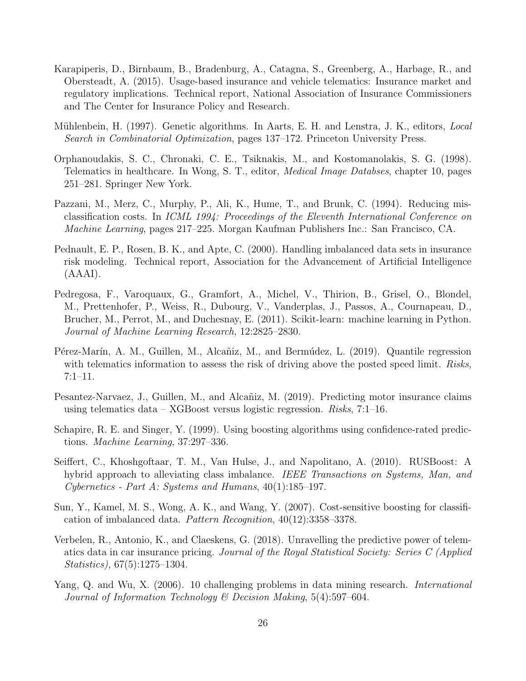- <span id="page-25-1"></span>Karapiperis, D., Birnbaum, B., Bradenburg, A., Catagna, S., Greenberg, A., Harbage, R., and Obersteadt, A. (2015). Usage-based insurance and vehicle telematics: Insurance market and regulatory implications. Technical report, National Association of Insurance Commissioners and The Center for Insurance Policy and Research.
- <span id="page-25-12"></span>Mühlenbein, H. (1997). Genetic algorithms. In Aarts, E. H. and Lenstra, J. K., editors, *Local* Search in Combinatorial Optimization, pages 137–172. Princeton University Press.
- <span id="page-25-0"></span>Orphanoudakis, S. C., Chronaki, C. E., Tsiknakis, M., and Kostomanolakis, S. G. (1998). Telematics in healthcare. In Wong, S. T., editor, Medical Image Databses, chapter 10, pages 251–281. Springer New York.
- <span id="page-25-9"></span>Pazzani, M., Merz, C., Murphy, P., Ali, K., Hume, T., and Brunk, C. (1994). Reducing misclassification costs. In ICML 1994: Proceedings of the Eleventh International Conference on Machine Learning, pages 217–225. Morgan Kaufman Publishers Inc.: San Francisco, CA.
- <span id="page-25-5"></span>Pednault, E. P., Rosen, B. K., and Apte, C. (2000). Handling imbalanced data sets in insurance risk modeling. Technical report, Association for the Advancement of Artificial Intelligence (AAAI).
- <span id="page-25-11"></span>Pedregosa, F., Varoquaux, G., Gramfort, A., Michel, V., Thirion, B., Grisel, O., Blondel, M., Prettenhofer, P., Weiss, R., Dubourg, V., Vanderplas, J., Passos, A., Cournapeau, D., Brucher, M., Perrot, M., and Duchesnay, E. (2011). Scikit-learn: machine learning in Python. Journal of Machine Learning Research, 12:2825–2830.
- <span id="page-25-3"></span>Pérez-Marín, A. M., Guillen, M., Alcañiz, M., and Bermúdez, L. (2019). Quantile regression with telematics information to assess the risk of driving above the posted speed limit. Risks, 7:1–11.
- <span id="page-25-4"></span>Pesantez-Narvaez, J., Guillen, M., and Alcañiz, M. (2019). Predicting motor insurance claims using telematics data – XGBoost versus logistic regression. Risks, 7:1–16.
- <span id="page-25-7"></span>Schapire, R. E. and Singer, Y. (1999). Using boosting algorithms using confidence-rated predictions. Machine Learning, 37:297–336.
- <span id="page-25-8"></span>Seiffert, C., Khoshgoftaar, T. M., Van Hulse, J., and Napolitano, A. (2010). RUSBoost: A hybrid approach to alleviating class imbalance. IEEE Transactions on Systems, Man, and Cybernetics - Part A: Systems and Humans, 40(1):185–197.
- <span id="page-25-10"></span>Sun, Y., Kamel, M. S., Wong, A. K., and Wang, Y. (2007). Cost-sensitive boosting for classification of imbalanced data. Pattern Recognition, 40(12):3358–3378.
- <span id="page-25-2"></span>Verbelen, R., Antonio, K., and Claeskens, G. (2018). Unravelling the predictive power of telematics data in car insurance pricing. Journal of the Royal Statistical Society: Series C (Applied Statistics), 67(5):1275–1304.
- <span id="page-25-6"></span>Yang, Q. and Wu, X. (2006). 10 challenging problems in data mining research. *International* Journal of Information Technology & Decision Making, 5(4):597–604.